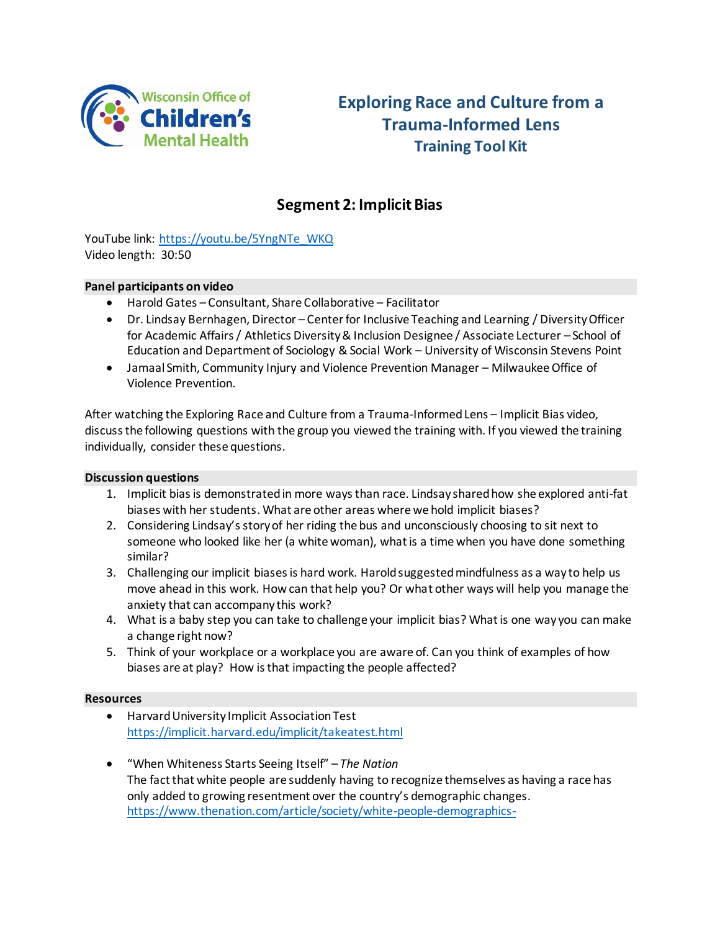

# **Exploring Race and Culture from a Trauma-Informed Lens Training Tool Kit**

# **Segment 2: Implicit Bias**

YouTube link: [https://youtu.be/5YngNTe\\_WKQ](https://youtu.be/5YngNTe_WKQ) Video length: 30:50

#### **Panel participants on video**

- Harold Gates Consultant, Share Collaborative Facilitator
- Dr. Lindsay Bernhagen, Director Center for Inclusive Teaching and Learning / Diversity Officer for Academic Affairs / Athletics Diversity & Inclusion Designee / Associate Lecturer – School of Education and Department of Sociology & Social Work – University of Wisconsin Stevens Point
- Jamaal Smith, Community Injury and Violence Prevention Manager Milwaukee Office of Violence Prevention.

After watching the Exploring Race and Culture from a Trauma-Informed Lens – Implicit Bias video, discuss the following questions with the group you viewed the training with. If you viewed the training individually, consider these questions.

#### **Discussion questions**

- 1. Implicit bias is demonstrated in more ways than race. Lindsay shared how she explored anti-fat biases with her students. What are other areas where we hold implicit biases?
- 2. Considering Lindsay's story of her riding the bus and unconsciously choosing to sit next to someone who looked like her (a white woman), what is a time when you have done something similar?
- 3. Challenging our implicit biases is hard work. Harold suggested mindfulness as a way to help us move ahead in this work. How can that help you? Or what other ways will help you manage the anxiety that can accompany this work?
- 4. What is a baby step you can take to challenge your implicit bias? What is one way you can make a change right now?
- 5. Think of your workplace or a workplace you are aware of. Can you think of examples of how biases are at play? How is that impacting the people affected?

#### **Resources**

- Harvard University Implicit Association Test <https://implicit.harvard.edu/implicit/takeatest.html>
- "When Whiteness Starts Seeing Itself" *The Nation* The fact that white people are suddenly having to recognize themselves as having a race has only added to growing resentment over the country's demographic changes. [https://www.thenation.com/article/society/white-people-demographics-](https://secure-web.cisco.com/1bKZradKgx1U8LMWEOredNrdviHn0pZrOPWeTTfz5CLa1u8BAqV-b5UQg1lDpONomIAWm2ouvNXwG5QIC3OKlcskKgYo0WJfodC7vqwzbXvluXMV-3-twG1jfEXXPBqmDMlZqRebkfSREF7PxK_hAYz1ZDPFjZFtV8CETkmWY0pZHKboiyHApbBOxH1PIk1_kkzGeGL7J_NIg10h5OZ157LhNzuuCgVxG7boRU3qL3eAJ6plJekS36Md9cCDp-Ple3tOPxyrGhBv0mt0YPo5CpYM5wqbqUW7MR-MGqA70cKZgbh-6rsxaAP33iLzV2g7g/https%3A%2F%2Fwww.thenation.com%2Farticle%2Fsociety%2Fwhite-people-demographics-backlash%2F%3Fcustno%3D%26zip%3D%26utm_source%3DSailthru%26utm_medium%3Demail%26utm_campaign%3DWeekly%252028.01.2022%26utm_term%3Dweekly)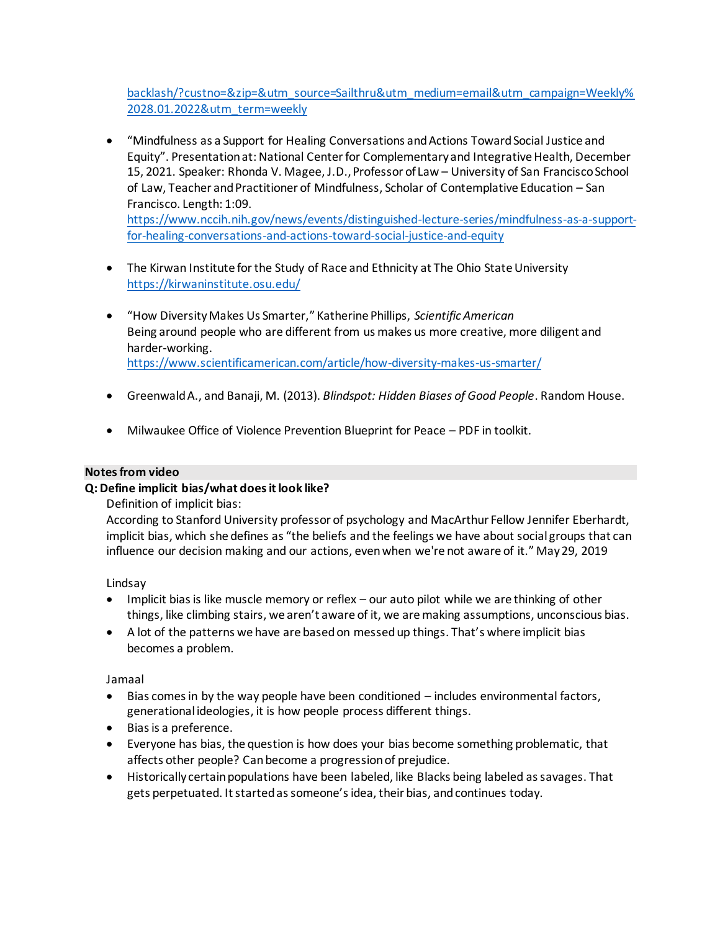[backlash/?custno=&zip=&utm\\_source=Sailthru&utm\\_medium=email&utm\\_campaign=Weekly%](https://secure-web.cisco.com/1bKZradKgx1U8LMWEOredNrdviHn0pZrOPWeTTfz5CLa1u8BAqV-b5UQg1lDpONomIAWm2ouvNXwG5QIC3OKlcskKgYo0WJfodC7vqwzbXvluXMV-3-twG1jfEXXPBqmDMlZqRebkfSREF7PxK_hAYz1ZDPFjZFtV8CETkmWY0pZHKboiyHApbBOxH1PIk1_kkzGeGL7J_NIg10h5OZ157LhNzuuCgVxG7boRU3qL3eAJ6plJekS36Md9cCDp-Ple3tOPxyrGhBv0mt0YPo5CpYM5wqbqUW7MR-MGqA70cKZgbh-6rsxaAP33iLzV2g7g/https%3A%2F%2Fwww.thenation.com%2Farticle%2Fsociety%2Fwhite-people-demographics-backlash%2F%3Fcustno%3D%26zip%3D%26utm_source%3DSailthru%26utm_medium%3Demail%26utm_campaign%3DWeekly%252028.01.2022%26utm_term%3Dweekly) [2028.01.2022&utm\\_term=weekly](https://secure-web.cisco.com/1bKZradKgx1U8LMWEOredNrdviHn0pZrOPWeTTfz5CLa1u8BAqV-b5UQg1lDpONomIAWm2ouvNXwG5QIC3OKlcskKgYo0WJfodC7vqwzbXvluXMV-3-twG1jfEXXPBqmDMlZqRebkfSREF7PxK_hAYz1ZDPFjZFtV8CETkmWY0pZHKboiyHApbBOxH1PIk1_kkzGeGL7J_NIg10h5OZ157LhNzuuCgVxG7boRU3qL3eAJ6plJekS36Md9cCDp-Ple3tOPxyrGhBv0mt0YPo5CpYM5wqbqUW7MR-MGqA70cKZgbh-6rsxaAP33iLzV2g7g/https%3A%2F%2Fwww.thenation.com%2Farticle%2Fsociety%2Fwhite-people-demographics-backlash%2F%3Fcustno%3D%26zip%3D%26utm_source%3DSailthru%26utm_medium%3Demail%26utm_campaign%3DWeekly%252028.01.2022%26utm_term%3Dweekly)

- "Mindfulness as a Support for Healing Conversations and Actions Toward Social Justice and Equity". Presentation at: National Center for Complementary and Integrative Health, December 15, 2021. Speaker: Rhonda V. Magee, J.D., Professor of Law – University of San Francisco School of Law, Teacher and Practitioner of Mindfulness, Scholar of Contemplative Education – San Francisco. Length: 1:09. [https://www.nccih.nih.gov/news/events/distinguished-lecture-series/mindfulness-as-a-support](https://www.nccih.nih.gov/news/events/distinguished-lecture-series/mindfulness-as-a-support-for-healing-conversations-and-actions-toward-social-justice-and-equity)[for-healing-conversations-and-actions-toward-social-justice-and-equity](https://www.nccih.nih.gov/news/events/distinguished-lecture-series/mindfulness-as-a-support-for-healing-conversations-and-actions-toward-social-justice-and-equity)
- The Kirwan Institute for the Study of Race and Ethnicity at The Ohio State University <https://kirwaninstitute.osu.edu/>
- "How Diversity Makes Us Smarter," Katherine Phillips, *Scientific American* Being around people who are different from us makes us more creative, more diligent and harder-working. <https://www.scientificamerican.com/article/how-diversity-makes-us-smarter/>
- Greenwald A., and Banaji, M. (2013). *Blindspot: Hidden Biases of Good People*. Random House.
- Milwaukee Office of Violence Prevention Blueprint for Peace PDF in toolkit.

#### **Notes from video**

#### **Q: Define implicit bias/what does it look like?**

Definition of implicit bias:

According to Stanford University professor of psychology and MacArthur Fellow Jennifer Eberhardt, implicit bias, which she defines as "the beliefs and the feelings we have about social groups that can influence our decision making and our actions, even when we're not aware of it." May 29, 2019

Lindsay

- Implicit bias is like muscle memory or reflex our auto pilot while we are thinking of other things, like climbing stairs, we aren't aware of it, we are making assumptions, unconscious bias.
- A lot of the patterns we have are based on messed up things. That's where implicit bias becomes a problem.

Jamaal

- Bias comes in by the way people have been conditioned includes environmental factors, generational ideologies, it is how people process different things.
- Bias is a preference.
- Everyone has bias, the question is how does your bias become something problematic, that affects other people? Can become a progression of prejudice.
- Historically certain populations have been labeled, like Blacks being labeled as savages. That gets perpetuated. It started as someone's idea, their bias, and continues today.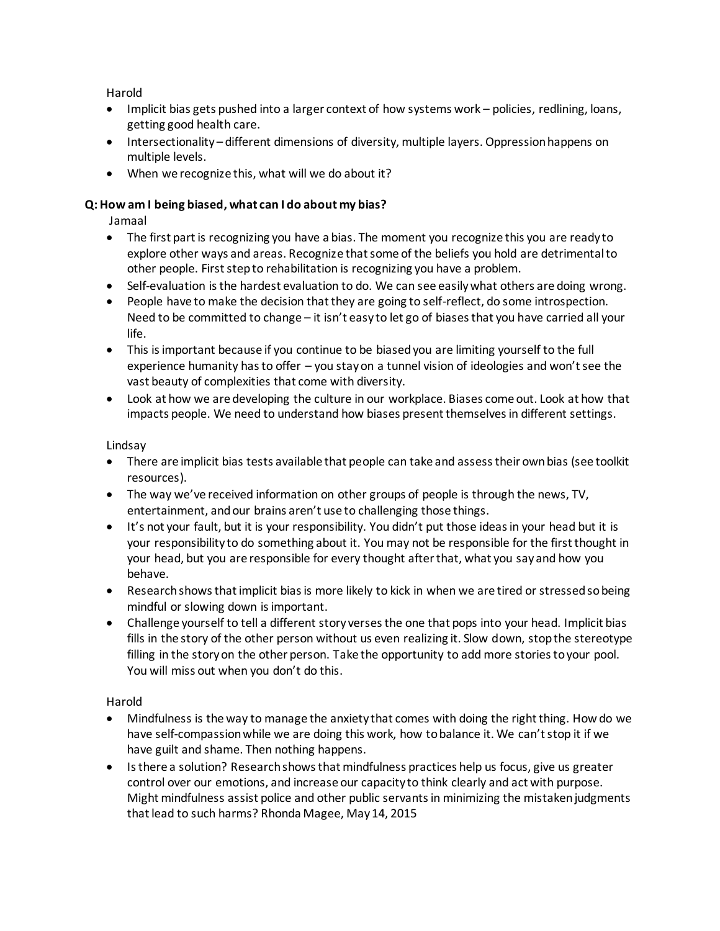Harold

- Implicit bias gets pushed into a larger context of how systems work policies, redlining, loans, getting good health care.
- Intersectionality different dimensions of diversity, multiple layers. Oppression happens on multiple levels.
- When we recognize this, what will we do about it?

# **Q: How am I being biased, what can I do about my bias?**

Jamaal

- The first part is recognizing you have a bias. The moment you recognize this you are ready to explore other ways and areas. Recognize that some of the beliefs you hold are detrimental to other people. First step to rehabilitation is recognizing you have a problem.
- Self-evaluation is the hardest evaluation to do. We can see easily what others are doing wrong.
- People have to make the decision that they are going to self-reflect, do some introspection. Need to be committed to change – it isn't easy to let go of biases that you have carried all your life.
- This is important because if you continue to be biased you are limiting yourself to the full experience humanity has to offer – you stay on a tunnel vision of ideologies and won't see the vast beauty of complexities that come with diversity.
- Look at how we are developing the culture in our workplace. Biases come out. Look at how that impacts people. We need to understand how biases present themselves in different settings.

Lindsay

- There are implicit bias tests available that people can take and assess their own bias (see toolkit resources).
- The way we've received information on other groups of people is through the news, TV, entertainment, and our brains aren't use to challenging those things.
- It's not your fault, but it is your responsibility. You didn't put those ideas in your head but it is your responsibility to do something about it. You may not be responsible for the first thought in your head, but you are responsible for every thought after that, what you say and how you behave.
- Research shows that implicit bias is more likely to kick in when we are tired or stressed so being mindful or slowing down is important.
- Challenge yourself to tell a different story verses the one that pops into your head. Implicit bias fills in the story of the other person without us even realizing it. Slow down, stop the stereotype filling in the story on the other person. Take the opportunity to add more stories to your pool. You will miss out when you don't do this.

Harold

- Mindfulness is the way to manage the anxiety that comes with doing the right thing. How do we have self-compassion while we are doing this work, how to balance it. We can't stop it if we have guilt and shame. Then nothing happens.
- Is there a solution? Research shows that mindfulness practices help us focus, give us greater control over our emotions, and increase our capacity to think clearly and act with purpose. Might mindfulness assist police and other public servants in minimizing the mistaken judgments that lead to such harms? Rhonda Magee, May 14, 2015